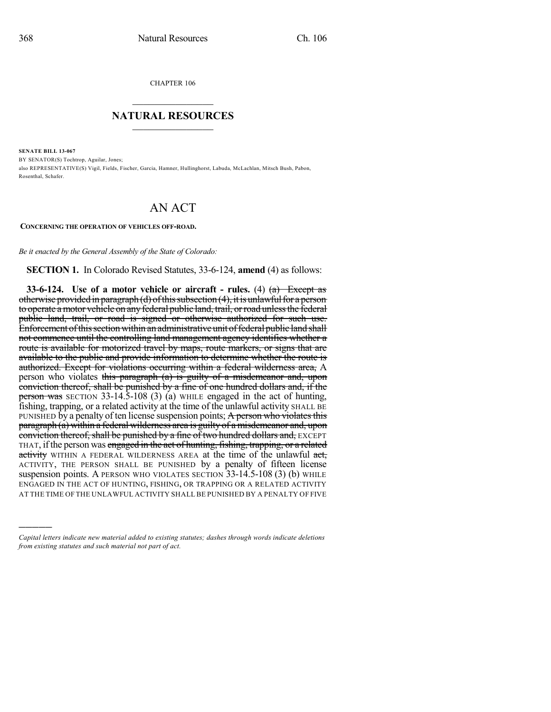)))))

CHAPTER 106  $\mathcal{L}_\text{max}$  . The set of the set of the set of the set of the set of the set of the set of the set of the set of the set of the set of the set of the set of the set of the set of the set of the set of the set of the set

## **NATURAL RESOURCES**  $\frac{1}{\sqrt{2}}$  , where  $\frac{1}{\sqrt{2}}$  ,  $\frac{1}{\sqrt{2}}$  ,  $\frac{1}{\sqrt{2}}$

**SENATE BILL 13-067** BY SENATOR(S) Tochtrop, Aguilar, Jones; also REPRESENTATIVE(S) Vigil, Fields, Fischer, Garcia, Hamner, Hullinghorst, Labuda, McLachlan, Mitsch Bush, Pabon, Rosenthal, Schafer.

## AN ACT

**CONCERNING THE OPERATION OF VEHICLES OFF-ROAD.**

*Be it enacted by the General Assembly of the State of Colorado:*

**SECTION 1.** In Colorado Revised Statutes, 33-6-124, **amend** (4) as follows:

**33-6-124. Use of a motor vehicle or aircraft - rules.** (4) (a) Except as otherwise provided in paragraph (d) of this subsection  $(4)$ , it is unlawful for a person to operate a motor vehicle on any federal public land, trail, or road unless the federal public land, trail, or road is signed or otherwise authorized for such use. Enforcement of this section within an administrative unit of federal public land shall not commence until the controlling land management agency identifies whether a route is available for motorized travel by maps, route markers, or signs that are available to the public and provide information to determine whether the route is authorized. Except for violations occurring within a federal wilderness area, A person who violates this paragraph (a) is guilty of a misdemeanor and, upon conviction thereof, shall be punished by a fine of one hundred dollars and, if the person was SECTION 33-14.5-108 (3) (a) WHILE engaged in the act of hunting, fishing, trapping, or a related activity at the time of the unlawful activity SHALL BE PUNISHED by a penalty of ten license suspension points; A person who violates this paragraph (a) within a federal wilderness area is guilty of a misdemeanor and, upon conviction thereof, shall be punished by a fine of two hundred dollars and, EXCEPT THAT, if the person was engaged in the act of hunting, fishing, trapping, or a related activity WITHIN A FEDERAL WILDERNESS AREA at the time of the unlawful act, ACTIVITY, THE PERSON SHALL BE PUNISHED by a penalty of fifteen license suspension points. A PERSON WHO VIOLATES SECTION 33-14.5-108 (3) (b) WHILE ENGAGED IN THE ACT OF HUNTING, FISHING, OR TRAPPING OR A RELATED ACTIVITY AT THE TIME OF THE UNLAWFUL ACTIVITY SHALL BE PUNISHED BY A PENALTY OF FIVE

*Capital letters indicate new material added to existing statutes; dashes through words indicate deletions from existing statutes and such material not part of act.*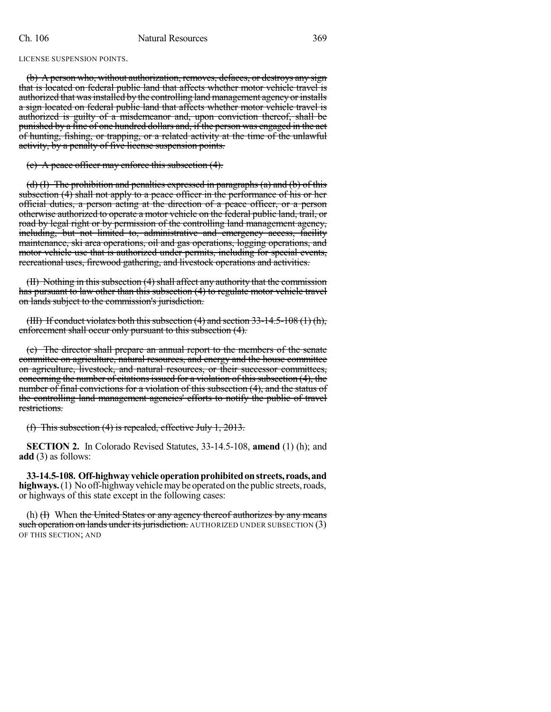LICENSE SUSPENSION POINTS.

(b) A person who, without authorization, removes, defaces, or destroys any sign that is located on federal public land that affects whether motor vehicle travel is authorized that was installed by the controlling land management agency or installs a sign located on federal public land that affects whether motor vehicle travel is authorized is guilty of a misdemeanor and, upon conviction thereof, shall be punished by a fine of one hundred dollars and, if the person was engaged in the act of hunting, fishing, or trapping, or a related activity at the time of the unlawful activity, by a penalty of five license suspension points.

(c) A peace officer may enforce this subsection (4).

(d) (I) The prohibition and penalties expressed in paragraphs (a) and (b) of this subsection (4) shall not apply to a peace officer in the performance of his or her official duties, a person acting at the direction of a peace officer, or a person otherwise authorized to operate a motor vehicle on the federal public land, trail, or road by legal right or by permission of the controlling land management agency, including, but not limited to, administrative and emergency access, facility maintenance, ski area operations, oil and gas operations, logging operations, and motor vehicle use that is authorized under permits, including for special events, recreational uses, firewood gathering, and livestock operations and activities.

(II) Nothing in this subsection (4) shall affect any authority that the commission has pursuant to law other than this subsection (4) to regulate motor vehicle travel on lands subject to the commission's jurisdiction.

(III) If conduct violates both this subsection  $(4)$  and section 33-14.5-108  $(1)$  (h), enforcement shall occur only pursuant to this subsection (4).

(e) The director shall prepare an annual report to the members of the senate committee on agriculture, natural resources, and energy and the house committee on agriculture, livestock, and natural resources, or their successor committees, concerning the number of citations issued for a violation of this subsection (4), the number of final convictions for a violation of this subsection (4), and the status of the controlling land management agencies' efforts to notify the public of travel restrictions.

(f) This subsection (4) is repealed, effective July 1, 2013.

**SECTION 2.** In Colorado Revised Statutes, 33-14.5-108, **amend** (1) (h); and **add** (3) as follows:

**33-14.5-108. Off-highwayvehicleoperationprohibitedonstreets, roads,and highways.** (1) No off-highway vehicle may be operated on the public streets, roads, or highways of this state except in the following cases:

(h)  $(H)$  When the United States or any agency thereof authorizes by any means such operation on lands under its jurisdiction. AUTHORIZED UNDER SUBSECTION (3) OF THIS SECTION; AND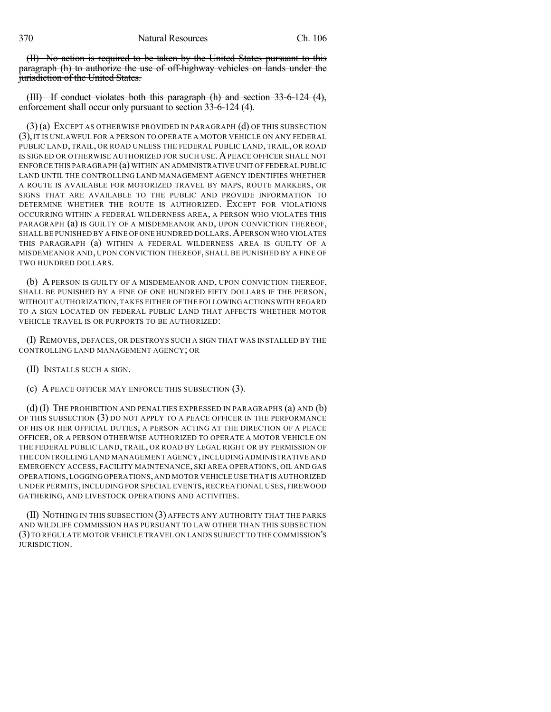370 Natural Resources Ch. 106

(II) No action is required to be taken by the United States pursuant to this paragraph (h) to authorize the use of off-highway vehicles on lands under the jurisdiction of the United States.

(III) If conduct violates both this paragraph (h) and section 33-6-124 (4), enforcement shall occur only pursuant to section 33-6-124 (4).

(3) (a) EXCEPT AS OTHERWISE PROVIDED IN PARAGRAPH (d) OF THIS SUBSECTION (3), IT IS UNLAWFUL FOR A PERSON TO OPERATE A MOTOR VEHICLE ON ANY FEDERAL PUBLIC LAND, TRAIL, OR ROAD UNLESS THE FEDERAL PUBLIC LAND, TRAIL, OR ROAD IS SIGNED OR OTHERWISE AUTHORIZED FOR SUCH USE. A PEACE OFFICER SHALL NOT ENFORCE THIS PARAGRAPH (a) WITHIN AN ADMINISTRATIVE UNIT OF FEDERAL PUBLIC LAND UNTIL THE CONTROLLING LAND MANAGEMENT AGENCY IDENTIFIES WHETHER A ROUTE IS AVAILABLE FOR MOTORIZED TRAVEL BY MAPS, ROUTE MARKERS, OR SIGNS THAT ARE AVAILABLE TO THE PUBLIC AND PROVIDE INFORMATION TO DETERMINE WHETHER THE ROUTE IS AUTHORIZED. EXCEPT FOR VIOLATIONS OCCURRING WITHIN A FEDERAL WILDERNESS AREA, A PERSON WHO VIOLATES THIS PARAGRAPH (a) IS GUILTY OF A MISDEMEANOR AND, UPON CONVICTION THEREOF, SHALL BE PUNISHED BY A FINE OF ONE HUNDRED DOLLARS. A PERSON WHO VIOLATES THIS PARAGRAPH (a) WITHIN A FEDERAL WILDERNESS AREA IS GUILTY OF A MISDEMEANOR AND, UPON CONVICTION THEREOF, SHALL BE PUNISHED BY A FINE OF TWO HUNDRED DOLLARS.

(b) A PERSON IS GUILTY OF A MISDEMEANOR AND, UPON CONVICTION THEREOF, SHALL BE PUNISHED BY A FINE OF ONE HUNDRED FIFTY DOLLARS IF THE PERSON, WITHOUT AUTHORIZATION,TAKES EITHER OF THE FOLLOWINGACTIONSWITH REGARD TO A SIGN LOCATED ON FEDERAL PUBLIC LAND THAT AFFECTS WHETHER MOTOR VEHICLE TRAVEL IS OR PURPORTS TO BE AUTHORIZED:

(I) REMOVES, DEFACES, OR DESTROYS SUCH A SIGN THAT WAS INSTALLED BY THE CONTROLLING LAND MANAGEMENT AGENCY; OR

(II) INSTALLS SUCH A SIGN.

(c) A PEACE OFFICER MAY ENFORCE THIS SUBSECTION (3).

(d) (I) THE PROHIBITION AND PENALTIES EXPRESSED IN PARAGRAPHS (a) AND (b) OF THIS SUBSECTION (3) DO NOT APPLY TO A PEACE OFFICER IN THE PERFORMANCE OF HIS OR HER OFFICIAL DUTIES, A PERSON ACTING AT THE DIRECTION OF A PEACE OFFICER, OR A PERSON OTHERWISE AUTHORIZED TO OPERATE A MOTOR VEHICLE ON THE FEDERAL PUBLIC LAND, TRAIL, OR ROAD BY LEGAL RIGHT OR BY PERMISSION OF THE CONTROLLING LAND MANAGEMENT AGENCY, INCLUDING ADMINISTRATIVE AND EMERGENCY ACCESS, FACILITY MAINTENANCE, SKI AREA OPERATIONS, OIL AND GAS OPERATIONS,LOGGING OPERATIONS,AND MOTOR VEHICLE USE THAT IS AUTHORIZED UNDER PERMITS, INCLUDING FOR SPECIAL EVENTS, RECREATIONAL USES, FIREWOOD GATHERING, AND LIVESTOCK OPERATIONS AND ACTIVITIES.

(II) NOTHING IN THIS SUBSECTION (3) AFFECTS ANY AUTHORITY THAT THE PARKS AND WILDLIFE COMMISSION HAS PURSUANT TO LAW OTHER THAN THIS SUBSECTION (3)TO REGULATE MOTOR VEHICLE TRAVEL ON LANDS SUBJECT TO THE COMMISSION'S JURISDICTION.